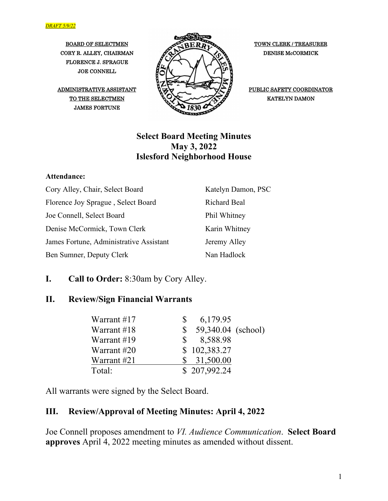FLORENCE J. SPRAGUE JOE CONNELL

ADMINISTRATIVE ASSISTANT JAMES FORTUNE



PUBLIC SAFETY COORDINATOR

#### **Select Board Meeting Minutes May 3, 2022 Islesford Neighborhood House**

#### **Attendance:**

| Cory Alley, Chair, Select Board         | Katelyn Damon, PSC  |
|-----------------------------------------|---------------------|
| Florence Joy Sprague, Select Board      | <b>Richard Beal</b> |
| Joe Connell, Select Board               | Phil Whitney        |
| Denise McCormick, Town Clerk            | Karin Whitney       |
| James Fortune, Administrative Assistant | Jeremy Alley        |
| Ben Sumner, Deputy Clerk                | Nan Hadlock         |

#### **I. Call to Order:** 8:30am by Cory Alley.

#### **II. Review/Sign Financial Warrants**

| Warrant #17 | 6,179.95           |
|-------------|--------------------|
| Warrant #18 | 59,340.04 (school) |
| Warrant #19 | 8,588.98           |
| Warrant #20 | \$102,383.27       |
| Warrant #21 | 31,500.00          |
| Total:      | \$207,992.24       |

All warrants were signed by the Select Board.

#### **III. Review/Approval of Meeting Minutes: April 4, 2022**

Joe Connell proposes amendment to *VI. Audience Communication*. **Select Board approves** April 4, 2022 meeting minutes as amended without dissent.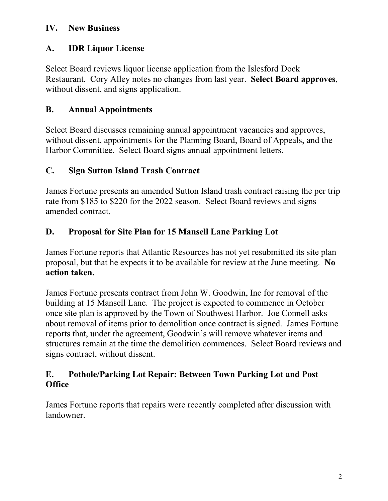#### **IV. New Business**

## **A. IDR Liquor License**

Select Board reviews liquor license application from the Islesford Dock Restaurant. Cory Alley notes no changes from last year. **Select Board approves**, without dissent, and signs application.

## **B. Annual Appointments**

Select Board discusses remaining annual appointment vacancies and approves, without dissent, appointments for the Planning Board, Board of Appeals, and the Harbor Committee. Select Board signs annual appointment letters.

## **C. Sign Sutton Island Trash Contract**

James Fortune presents an amended Sutton Island trash contract raising the per trip rate from \$185 to \$220 for the 2022 season. Select Board reviews and signs amended contract.

## **D. Proposal for Site Plan for 15 Mansell Lane Parking Lot**

James Fortune reports that Atlantic Resources has not yet resubmitted its site plan proposal, but that he expects it to be available for review at the June meeting. **No action taken.**

James Fortune presents contract from John W. Goodwin, Inc for removal of the building at 15 Mansell Lane. The project is expected to commence in October once site plan is approved by the Town of Southwest Harbor. Joe Connell asks about removal of items prior to demolition once contract is signed. James Fortune reports that, under the agreement, Goodwin's will remove whatever items and structures remain at the time the demolition commences. Select Board reviews and signs contract, without dissent.

#### **E. Pothole/Parking Lot Repair: Between Town Parking Lot and Post Office**

James Fortune reports that repairs were recently completed after discussion with landowner.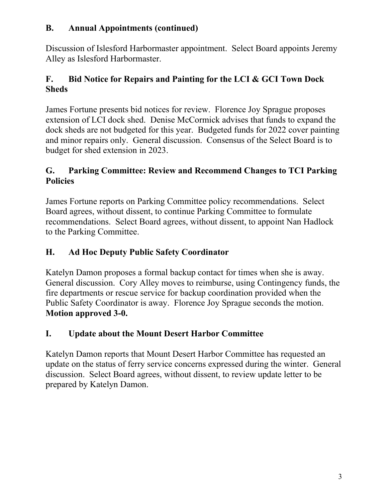#### **B. Annual Appointments (continued)**

Discussion of Islesford Harbormaster appointment. Select Board appoints Jeremy Alley as Islesford Harbormaster.

## **F. Bid Notice for Repairs and Painting for the LCI & GCI Town Dock Sheds**

James Fortune presents bid notices for review. Florence Joy Sprague proposes extension of LCI dock shed. Denise McCormick advises that funds to expand the dock sheds are not budgeted for this year. Budgeted funds for 2022 cover painting and minor repairs only. General discussion. Consensus of the Select Board is to budget for shed extension in 2023.

#### **G. Parking Committee: Review and Recommend Changes to TCI Parking Policies**

James Fortune reports on Parking Committee policy recommendations. Select Board agrees, without dissent, to continue Parking Committee to formulate recommendations. Select Board agrees, without dissent, to appoint Nan Hadlock to the Parking Committee.

## **H. Ad Hoc Deputy Public Safety Coordinator**

Katelyn Damon proposes a formal backup contact for times when she is away. General discussion. Cory Alley moves to reimburse, using Contingency funds, the fire departments or rescue service for backup coordination provided when the Public Safety Coordinator is away. Florence Joy Sprague seconds the motion. **Motion approved 3-0.**

# **I. Update about the Mount Desert Harbor Committee**

Katelyn Damon reports that Mount Desert Harbor Committee has requested an update on the status of ferry service concerns expressed during the winter. General discussion. Select Board agrees, without dissent, to review update letter to be prepared by Katelyn Damon.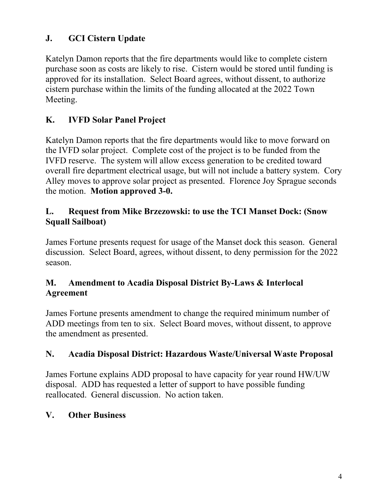## **J. GCI Cistern Update**

Katelyn Damon reports that the fire departments would like to complete cistern purchase soon as costs are likely to rise. Cistern would be stored until funding is approved for its installation. Select Board agrees, without dissent, to authorize cistern purchase within the limits of the funding allocated at the 2022 Town Meeting.

## **K. IVFD Solar Panel Project**

Katelyn Damon reports that the fire departments would like to move forward on the IVFD solar project. Complete cost of the project is to be funded from the IVFD reserve. The system will allow excess generation to be credited toward overall fire department electrical usage, but will not include a battery system. Cory Alley moves to approve solar project as presented. Florence Joy Sprague seconds the motion. **Motion approved 3-0.**

#### **L. Request from Mike Brzezowski: to use the TCI Manset Dock: (Snow Squall Sailboat)**

James Fortune presents request for usage of the Manset dock this season. General discussion. Select Board, agrees, without dissent, to deny permission for the 2022 season.

#### **M. Amendment to Acadia Disposal District By-Laws & Interlocal Agreement**

James Fortune presents amendment to change the required minimum number of ADD meetings from ten to six. Select Board moves, without dissent, to approve the amendment as presented.

## **N. Acadia Disposal District: Hazardous Waste/Universal Waste Proposal**

James Fortune explains ADD proposal to have capacity for year round HW/UW disposal. ADD has requested a letter of support to have possible funding reallocated. General discussion. No action taken.

# **V. Other Business**